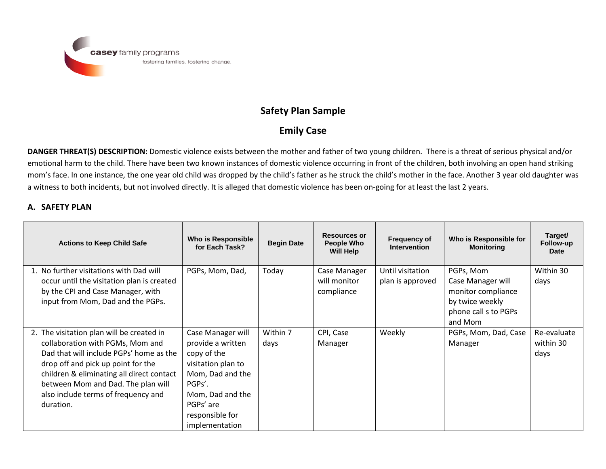

## **Safety Plan Sample**

## **Emily Case**

**DANGER THREAT(S) DESCRIPTION:** Domestic violence exists between the mother and father of two young children. There is a threat of serious physical and/or emotional harm to the child. There have been two known instances of domestic violence occurring in front of the children, both involving an open hand striking mom's face. In one instance, the one year old child was dropped by the child's father as he struck the child's mother in the face. Another 3 year old daughter was a witness to both incidents, but not involved directly. It is alleged that domestic violence has been on-going for at least the last 2 years.

## **A. SAFETY PLAN**

| <b>Actions to Keep Child Safe</b>                                                                                                                                                                                                                                                                     | Who is Responsible<br>for Each Task?                                                                                                                                            | <b>Begin Date</b> | <b>Resources or</b><br><b>People Who</b><br>Will Help | <b>Frequency of</b><br><b>Intervention</b> | Who is Responsible for<br><b>Monitoring</b>                                                                | Target/<br>Follow-up<br>Date     |
|-------------------------------------------------------------------------------------------------------------------------------------------------------------------------------------------------------------------------------------------------------------------------------------------------------|---------------------------------------------------------------------------------------------------------------------------------------------------------------------------------|-------------------|-------------------------------------------------------|--------------------------------------------|------------------------------------------------------------------------------------------------------------|----------------------------------|
| 1. No further visitations with Dad will<br>occur until the visitation plan is created<br>by the CPI and Case Manager, with<br>input from Mom, Dad and the PGPs.                                                                                                                                       | PGPs, Mom, Dad,                                                                                                                                                                 | Today             | Case Manager<br>will monitor<br>compliance            | Until visitation<br>plan is approved       | PGPs, Mom<br>Case Manager will<br>monitor compliance<br>by twice weekly<br>phone call s to PGPs<br>and Mom | Within 30<br>days                |
| 2. The visitation plan will be created in<br>collaboration with PGMs, Mom and<br>Dad that will include PGPs' home as the<br>drop off and pick up point for the<br>children & eliminating all direct contact<br>between Mom and Dad. The plan will<br>also include terms of frequency and<br>duration. | Case Manager will<br>provide a written<br>copy of the<br>visitation plan to<br>Mom, Dad and the<br>PGPs'.<br>Mom, Dad and the<br>PGPs' are<br>responsible for<br>implementation | Within 7<br>days  | CPI, Case<br>Manager                                  | Weekly                                     | PGPs, Mom, Dad, Case<br>Manager                                                                            | Re-evaluate<br>within 30<br>days |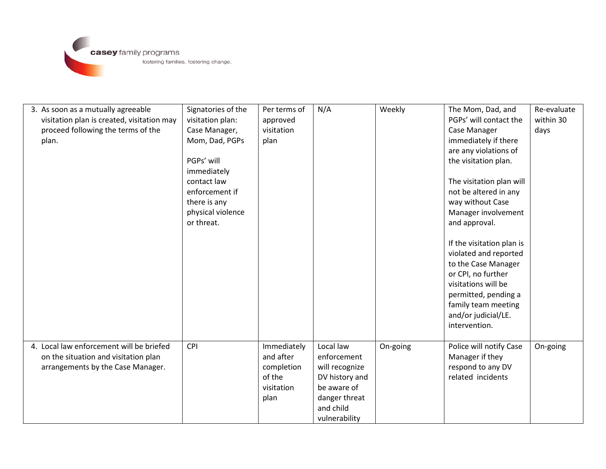

| 3. As soon as a mutually agreeable<br>visitation plan is created, visitation may<br>proceed following the terms of the<br>plan. | Signatories of the<br>visitation plan:<br>Case Manager,<br>Mom, Dad, PGPs<br>PGPs' will<br>immediately<br>contact law<br>enforcement if<br>there is any<br>physical violence<br>or threat. | Per terms of<br>approved<br>visitation<br>plan          | N/A                                                                                                           | Weekly   | The Mom, Dad, and<br>PGPs' will contact the<br>Case Manager<br>immediately if there<br>are any violations of<br>the visitation plan.<br>The visitation plan will<br>not be altered in any<br>way without Case<br>Manager involvement<br>and approval.<br>If the visitation plan is<br>violated and reported<br>to the Case Manager<br>or CPI, no further<br>visitations will be<br>permitted, pending a<br>family team meeting<br>and/or judicial/LE.<br>intervention. | Re-evaluate<br>within 30<br>days |
|---------------------------------------------------------------------------------------------------------------------------------|--------------------------------------------------------------------------------------------------------------------------------------------------------------------------------------------|---------------------------------------------------------|---------------------------------------------------------------------------------------------------------------|----------|------------------------------------------------------------------------------------------------------------------------------------------------------------------------------------------------------------------------------------------------------------------------------------------------------------------------------------------------------------------------------------------------------------------------------------------------------------------------|----------------------------------|
| 4. Local law enforcement will be briefed                                                                                        | CPI                                                                                                                                                                                        | Immediately                                             | Local law                                                                                                     | On-going | Police will notify Case                                                                                                                                                                                                                                                                                                                                                                                                                                                | On-going                         |
| on the situation and visitation plan<br>arrangements by the Case Manager.                                                       |                                                                                                                                                                                            | and after<br>completion<br>of the<br>visitation<br>plan | enforcement<br>will recognize<br>DV history and<br>be aware of<br>danger threat<br>and child<br>vulnerability |          | Manager if they<br>respond to any DV<br>related incidents                                                                                                                                                                                                                                                                                                                                                                                                              |                                  |